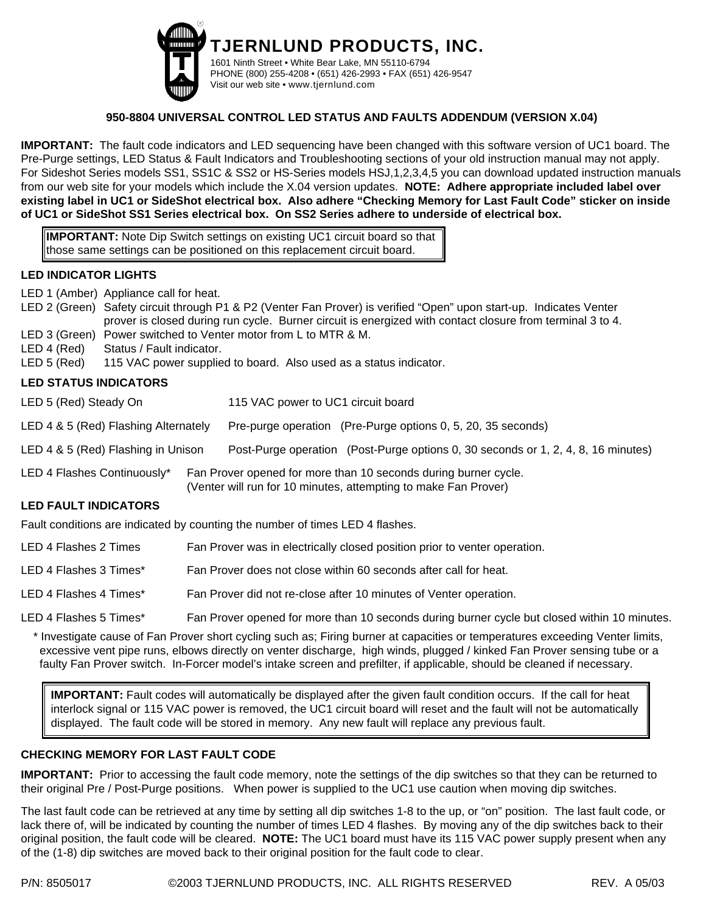

**TJERNLUND PRODUCTS, INC.** 1601 Ninth Street • White Bear Lake, MN 55110-6794 PHONE (800) 255-4208 • (651) 426-2993 • FAX (651) 426-9547 Visit our web site • www.tjernlund.com

# **950-8804 UNIVERSAL CONTROL LED STATUS AND FAULTS ADDENDUM (VERSION X.04)**

**IMPORTANT:** The fault code indicators and LED sequencing have been changed with this software version of UC1 board. The Pre-Purge settings, LED Status & Fault Indicators and Troubleshooting sections of your old instruction manual may not apply. For Sideshot Series models SS1, SS1C & SS2 or HS-Series models HSJ,1,2,3,4,5 you can download updated instruction manuals from our web site for your models which include the X.04 version updates. **NOTE: Adhere appropriate included label over existing label in UC1 or SideShot electrical box. Also adhere "Checking Memory for Last Fault Code" sticker on inside of UC1 or SideShot SS1 Series electrical box. On SS2 Series adhere to underside of electrical box.**

**IMPORTANT:** Note Dip Switch settings on existing UC1 circuit board so that those same settings can be positioned on this replacement circuit board.

# **LED INDICATOR LIGHTS**

LED 1 (Amber) Appliance call for heat.

- LED 2 (Green) Safety circuit through P1 & P2 (Venter Fan Prover) is verified "Open" upon start-up. Indicates Venter prover is closed during run cycle. Burner circuit is energized with contact closure from terminal 3 to 4. LED 3 (Green) Power switched to Venter motor from L to MTR & M.
- LED 4 (Red) Status / Fault indicator.

LED 5 (Red) 115 VAC power supplied to board. Also used as a status indicator.

# **LED STATUS INDICATORS**

LED 5 (Red) Steady On 115 VAC power to UC1 circuit board

LED 4 & 5 (Red) Flashing Alternately Pre-purge operation (Pre-Purge options 0, 5, 20, 35 seconds)

LED 4 & 5 (Red) Flashing in Unison Post-Purge operation (Post-Purge options 0, 30 seconds or 1, 2, 4, 8, 16 minutes)

LED 4 Flashes Continuously<sup>\*</sup> Fan Prover opened for more than 10 seconds during burner cycle. (Venter will run for 10 minutes, attempting to make Fan Prover)

#### **LED FAULT INDICATORS**

Fault conditions are indicated by counting the number of times LED 4 flashes.

- LED 4 Flashes 2 Times Fan Prover was in electrically closed position prior to venter operation.
- LED 4 Flashes 3 Times\* Fan Prover does not close within 60 seconds after call for heat.

LED 4 Flashes 4 Times\* Fan Prover did not re-close after 10 minutes of Venter operation.

LED 4 Flashes 5 Times\* Fan Prover opened for more than 10 seconds during burner cycle but closed within 10 minutes.

\* Investigate cause of Fan Prover short cycling such as; Firing burner at capacities or temperatures exceeding Venter limits, excessive vent pipe runs, elbows directly on venter discharge, high winds, plugged / kinked Fan Prover sensing tube or a faulty Fan Prover switch. In-Forcer model's intake screen and prefilter, if applicable, should be cleaned if necessary.

**IMPORTANT:** Fault codes will automatically be displayed after the given fault condition occurs. If the call for heat interlock signal or 115 VAC power is removed, the UC1 circuit board will reset and the fault will not be automatically displayed. The fault code will be stored in memory. Any new fault will replace any previous fault.

# **CHECKING MEMORY FOR LAST FAULT CODE**

**IMPORTANT:** Prior to accessing the fault code memory, note the settings of the dip switches so that they can be returned to their original Pre / Post-Purge positions. When power is supplied to the UC1 use caution when moving dip switches.

The last fault code can be retrieved at any time by setting all dip switches 1-8 to the up, or "on" position. The last fault code, or lack there of, will be indicated by counting the number of times LED 4 flashes. By moving any of the dip switches back to their original position, the fault code will be cleared. **NOTE:** The UC1 board must have its 115 VAC power supply present when any of the (1-8) dip switches are moved back to their original position for the fault code to clear.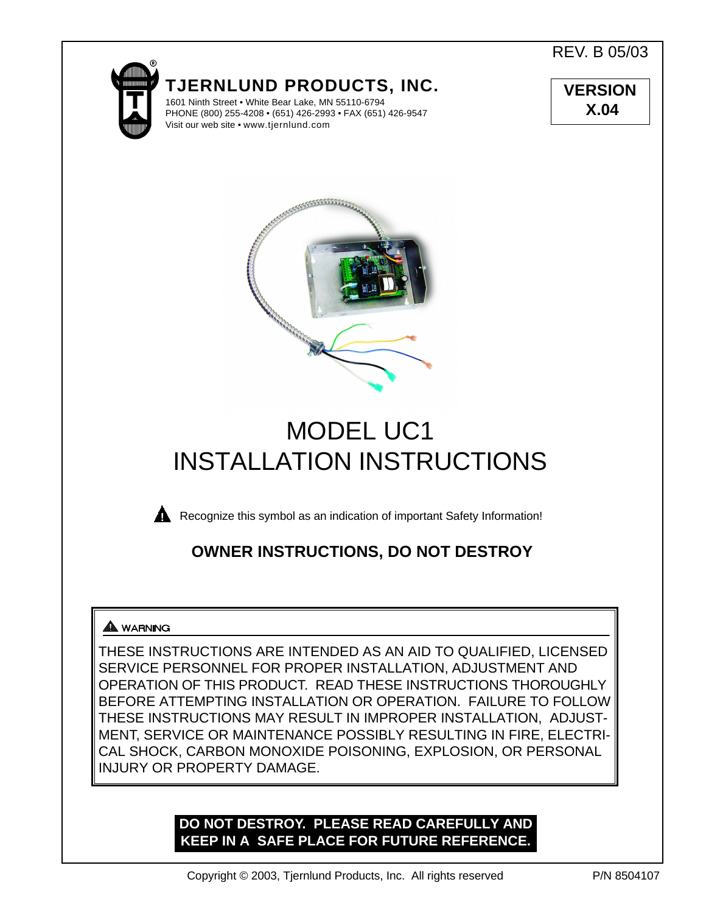REV. B 05/03



**TJERNLUND PRODUCTS, INC.**

1601 Ninth Street • White Bear Lake, MN 55110-6794 PHONE (800) 255-4208 • (651) 426-2993 • FAX (651) 426-9547 Visit our web site • www.tjernlund.com

**VERSION X.04**



# MODEL UC1 INSTALLATION INSTRUCTIONS



**Recognize this symbol as an indication of important Safety Information!** 

# **OWNER INSTRUCTIONS, DO NOT DESTROY**

# **A** WARNING

THESE INSTRUCTIONS ARE INTENDED AS AN AID TO QUALIFIED, LICENSED SERVICE PERSONNEL FOR PROPER INSTALLATION, ADJUSTMENT AND OPERATION OF THIS PRODUCT. READ THESE INSTRUCTIONS THOROUGHLY BEFORE ATTEMPTING INSTALLATION OR OPERATION. FAILURE TO FOLLOW THESE INSTRUCTIONS MAY RESULT IN IMPROPER INSTALLATION, ADJUST-MENT, SERVICE OR MAINTENANCE POSSIBLY RESULTING IN FIRE, ELECTRI-CAL SHOCK, CARBON MONOXIDE POISONING, EXPLOSION, OR PERSONAL INJURY OR PROPERTY DAMAGE.

# **DO NOT DESTROY. PLEASE READ CAREFULLY AND KEEP IN A SAFE PLACE FOR FUTURE REFERENCE.**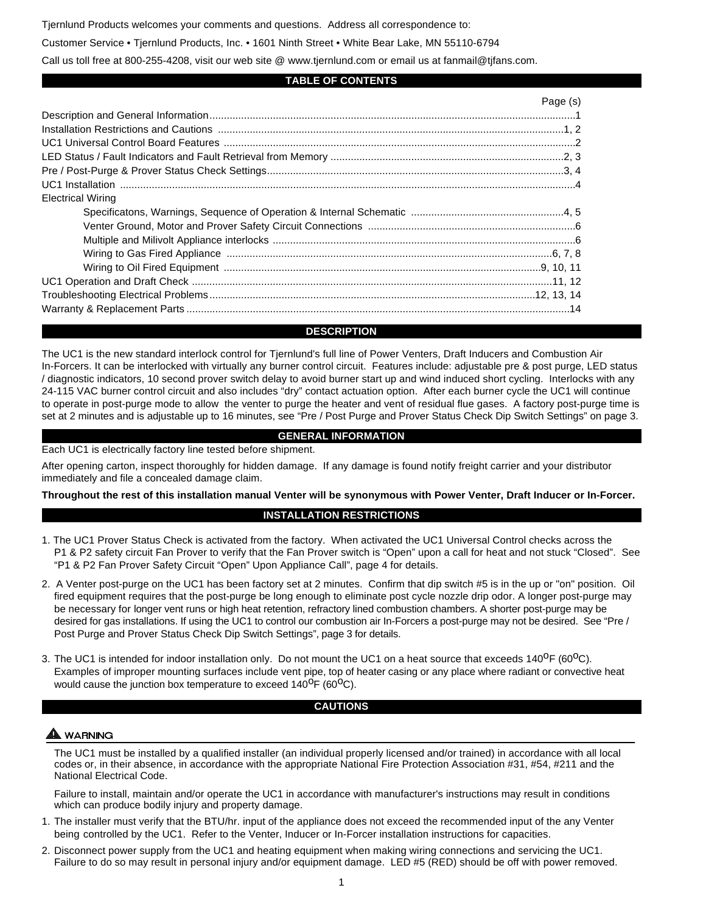Tjernlund Products welcomes your comments and questions. Address all correspondence to:

Customer Service • Tjernlund Products, Inc. • 1601 Ninth Street • White Bear Lake, MN 55110-6794

Call us toll free at 800-255-4208, visit our web site @ www.tjernlund.com or email us at fanmail@tjfans.com.

#### **TABLE OF CONTENTS**

|                          | Page (s) |
|--------------------------|----------|
|                          |          |
|                          |          |
|                          |          |
|                          |          |
|                          |          |
|                          |          |
| <b>Electrical Wiring</b> |          |
|                          |          |
|                          |          |
|                          |          |
|                          |          |
|                          |          |
|                          |          |
|                          |          |
|                          |          |

#### **DESCRIPTION**

The UC1 is the new standard interlock control for Tjernlund's full line of Power Venters, Draft Inducers and Combustion Air In-Forcers. It can be interlocked with virtually any burner control circuit. Features include: adjustable pre & post purge, LED status / diagnostic indicators, 10 second prover switch delay to avoid burner start up and wind induced short cycling. Interlocks with any 24-115 VAC burner control circuit and also includes "dry" contact actuation option. After each burner cycle the UC1 will continue to operate in post-purge mode to allow the venter to purge the heater and vent of residual flue gases. A factory post-purge time is set at 2 minutes and is adjustable up to 16 minutes, see "Pre / Post Purge and Prover Status Check Dip Switch Settings" on page 3.

#### **GENERAL INFORMATION**

Each UC1 is electrically factory line tested before shipment.

After opening carton, inspect thoroughly for hidden damage. If any damage is found notify freight carrier and your distributor immediately and file a concealed damage claim.

**Throughout the rest of this installation manual Venter will be synonymous with Power Venter, Draft Inducer or In-Forcer.**

#### **INSTALLATION RESTRICTIONS**

- 1. The UC1 Prover Status Check is activated from the factory. When activated the UC1 Universal Control checks across the P1 & P2 safety circuit Fan Prover to verify that the Fan Prover switch is "Open" upon a call for heat and not stuck "Closed". See "P1 & P2 Fan Prover Safety Circuit "Open" Upon Appliance Call", page 4 for details.
- 2. A Venter post-purge on the UC1 has been factory set at 2 minutes. Confirm that dip switch #5 is in the up or "on" position. Oil fired equipment requires that the post-purge be long enough to eliminate post cycle nozzle drip odor. A longer post-purge may be necessary for longer vent runs or high heat retention, refractory lined combustion chambers. A shorter post-purge may be desired for gas installations. If using the UC1 to control our combustion air In-Forcers a post-purge may not be desired. See "Pre / Post Purge and Prover Status Check Dip Switch Settings", page 3 for details.
- 3. The UC1 is intended for indoor installation only. Do not mount the UC1 on a heat source that exceeds 140<sup>0</sup>F (60<sup>0</sup>C). Examples of improper mounting surfaces include vent pipe, top of heater casing or any place where radiant or convective heat would cause the junction box temperature to exceed  $140^{\circ}F (60^{\circ}C)$ .

#### **CAUTIONS**

#### WARNING

The UC1 must be installed by a qualified installer (an individual properly licensed and/or trained) in accordance with all local codes or, in their absence, in accordance with the appropriate National Fire Protection Association #31, #54, #211 and the National Electrical Code.

Failure to install, maintain and/or operate the UC1 in accordance with manufacturer's instructions may result in conditions which can produce bodily injury and property damage.

- 1. The installer must verify that the BTU/hr. input of the appliance does not exceed the recommended input of the any Venter being controlled by the UC1. Refer to the Venter, Inducer or In-Forcer installation instructions for capacities.
- 2. Disconnect power supply from the UC1 and heating equipment when making wiring connections and servicing the UC1. Failure to do so may result in personal injury and/or equipment damage. LED #5 (RED) should be off with power removed.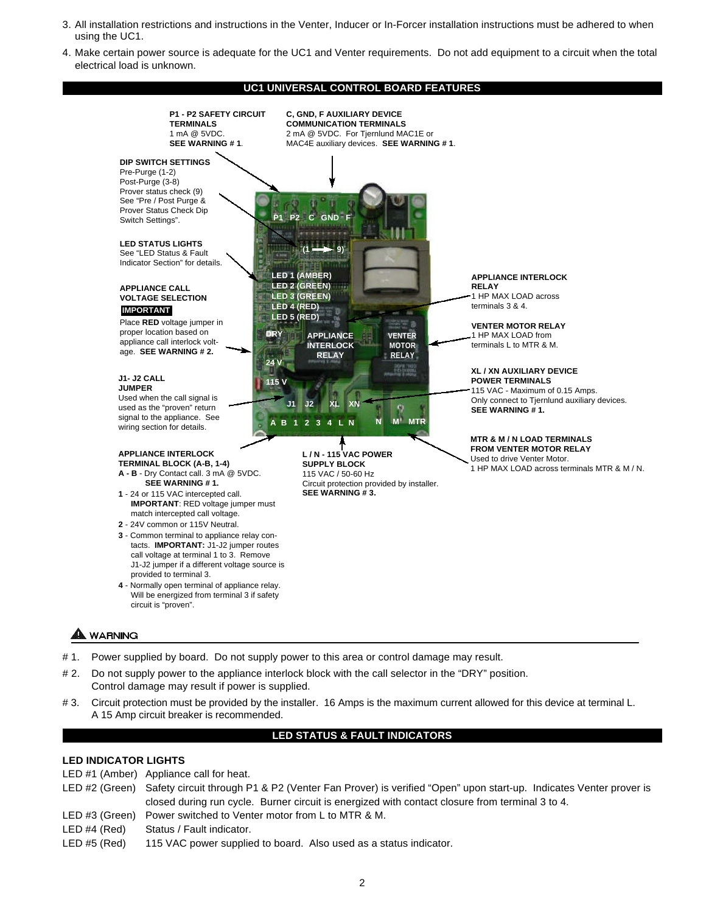- 3. All installation restrictions and instructions in the Venter, Inducer or In-Forcer installation instructions must be adhered to when using the UC1.
- 4. Make certain power source is adequate for the UC1 and Venter requirements. Do not add equipment to a circuit when the total electrical load is unknown.

#### **UC1 UNIVERSAL CONTROL BOARD FEATURES**



- # 2. Do not supply power to the appliance interlock block with the call selector in the "DRY" position.
- Control damage may result if power is supplied.
- # 3. Circuit protection must be provided by the installer. 16 Amps is the maximum current allowed for this device at terminal L. A 15 Amp circuit breaker is recommended.

# **LED STATUS & FAULT INDICATORS**

# **LED INDICATOR LIGHTS**

- LED #1 (Amber) Appliance call for heat.
- LED #2 (Green) Safety circuit through P1 & P2 (Venter Fan Prover) is verified "Open" upon start-up. Indicates Venter prover is closed during run cycle. Burner circuit is energized with contact closure from terminal 3 to 4.
- LED #3 (Green) Power switched to Venter motor from L to MTR & M.
- LED #4 (Red) Status / Fault indicator.
- LED #5 (Red) 115 VAC power supplied to board. Also used as a status indicator.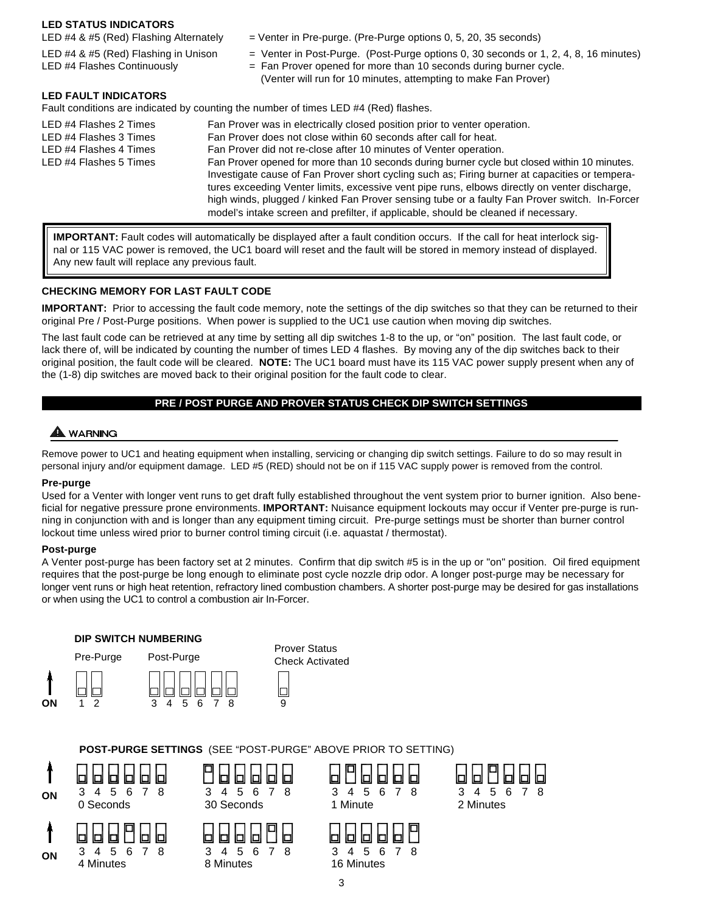#### **LED STATUS INDICATORS**

- LED  $#4 \& #5$  (Red) Flashing Alternately  $=$  Venter in Pre-purge. (Pre-Purge options 0, 5, 20, 35 seconds)
- LED  $#4 \& #5$  (Red) Flashing in Unison = Venter in Post-Purge. (Post-Purge options 0, 30 seconds or 1, 2, 4, 8, 16 minutes)
- LED  $#4$  Flashes Continuously  $=$  Fan Prover opened for more than 10 seconds during burner cycle. (Venter will run for 10 minutes, attempting to make Fan Prover)

#### **LED FAULT INDICATORS**

Fault conditions are indicated by counting the number of times LED #4 (Red) flashes.

| LED #4 Flashes 2 Times<br>LED #4 Flashes 3 Times<br>LED #4 Flashes 4 Times<br>LED #4 Flashes 5 Times | Fan Prover was in electrically closed position prior to venter operation.<br>Fan Prover does not close within 60 seconds after call for heat.<br>Fan Prover did not re-close after 10 minutes of Venter operation.<br>Fan Prover opened for more than 10 seconds during burner cycle but closed within 10 minutes.<br>Investigate cause of Fan Prover short cycling such as; Firing burner at capacities or tempera-<br>tures exceeding Venter limits, excessive vent pipe runs, elbows directly on venter discharge,<br>high winds, plugged / kinked Fan Prover sensing tube or a faulty Fan Prover switch. In-Forcer<br>model's intake screen and prefilter, if applicable, should be cleaned if necessary. |
|------------------------------------------------------------------------------------------------------|---------------------------------------------------------------------------------------------------------------------------------------------------------------------------------------------------------------------------------------------------------------------------------------------------------------------------------------------------------------------------------------------------------------------------------------------------------------------------------------------------------------------------------------------------------------------------------------------------------------------------------------------------------------------------------------------------------------|
|                                                                                                      |                                                                                                                                                                                                                                                                                                                                                                                                                                                                                                                                                                                                                                                                                                               |

**IMPORTANT:** Fault codes will automatically be displayed after a fault condition occurs. If the call for heat interlock signal or 115 VAC power is removed, the UC1 board will reset and the fault will be stored in memory instead of displayed. Any new fault will replace any previous fault.

#### **CHECKING MEMORY FOR LAST FAULT CODE**

**IMPORTANT:** Prior to accessing the fault code memory, note the settings of the dip switches so that they can be returned to their original Pre / Post-Purge positions. When power is supplied to the UC1 use caution when moving dip switches.

The last fault code can be retrieved at any time by setting all dip switches 1-8 to the up, or "on" position. The last fault code, or lack there of, will be indicated by counting the number of times LED 4 flashes. By moving any of the dip switches back to their original position, the fault code will be cleared. **NOTE:** The UC1 board must have its 115 VAC power supply present when any of the (1-8) dip switches are moved back to their original position for the fault code to clear.

# **PRE / POST PURGE AND PROVER STATUS CHECK DIP SWITCH SETTINGS**

# **A** WARNING

Remove power to UC1 and heating equipment when installing, servicing or changing dip switch settings. Failure to do so may result in personal injury and/or equipment damage. LED #5 (RED) should not be on if 115 VAC supply power is removed from the control.

#### **Pre-purge**

Used for a Venter with longer vent runs to get draft fully established throughout the vent system prior to burner ignition. Also beneficial for negative pressure prone environments. **IMPORTANT:** Nuisance equipment lockouts may occur if Venter pre-purge is running in conjunction with and is longer than any equipment timing circuit. Pre-purge settings must be shorter than burner control lockout time unless wired prior to burner control timing circuit (i.e. aquastat / thermostat).

#### **Post-purge**

A Venter post-purge has been factory set at 2 minutes. Confirm that dip switch #5 is in the up or "on" position. Oil fired equipment requires that the post-purge be long enough to eliminate post cycle nozzle drip odor. A longer post-purge may be necessary for longer vent runs or high heat retention, refractory lined combustion chambers. A shorter post-purge may be desired for gas installations or when using the UC1 to control a combustion air In-Forcer.



**POST-PURGE SETTINGS** (SEE "POST-PURGE" ABOVE PRIOR TO SETTING)





b

|           | 808888 |   |
|-----------|--------|---|
|           | 4567   | я |
| 1. Minuto |        |   |



3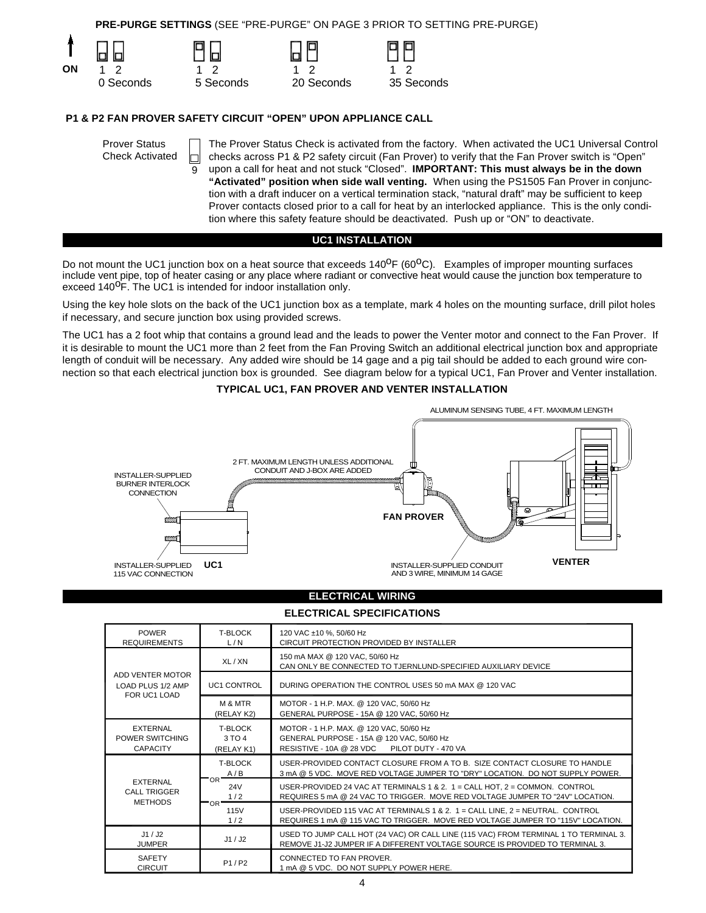**PRE-PURGE SETTINGS** (SEE "PRE-PURGE" ON PAGE 3 PRIOR TO SETTING PRE-PURGE)



#### **P1 & P2 FAN PROVER SAFETY CIRCUIT "OPEN" UPON APPLIANCE CALL**

| <b>Prover Status</b><br><b>Check Activated</b> | The Prover Status Check is activated from the factory. When activated the UC1 Universal Control<br>checks across P1 & P2 safety circuit (Fan Prover) to verify that the Fan Prover switch is "Open"<br>upon a call for heat and not stuck "Closed". <b>IMPORTANT: This must always be in the down</b><br>"Activated" position when side wall venting. When using the PS1505 Fan Prover in conjunc-<br>tion with a draft inducer on a vertical termination stack, "natural draft" may be sufficient to keep<br>Prover contacts closed prior to a call for heat by an interlocked appliance. This is the only condi-<br>tion where this safety feature should be deactivated. Push up or "ON" to deactivate. |
|------------------------------------------------|------------------------------------------------------------------------------------------------------------------------------------------------------------------------------------------------------------------------------------------------------------------------------------------------------------------------------------------------------------------------------------------------------------------------------------------------------------------------------------------------------------------------------------------------------------------------------------------------------------------------------------------------------------------------------------------------------------|
|------------------------------------------------|------------------------------------------------------------------------------------------------------------------------------------------------------------------------------------------------------------------------------------------------------------------------------------------------------------------------------------------------------------------------------------------------------------------------------------------------------------------------------------------------------------------------------------------------------------------------------------------------------------------------------------------------------------------------------------------------------------|

#### **UC1 INSTALLATION**

Do not mount the UC1 junction box on a heat source that exceeds  $140^{\circ}F (60^{\circ}C)$ . Examples of improper mounting surfaces include vent pipe, top of heater casing or any place where radiant or convective heat would cause the junction box temperature to exceed 140<sup>o</sup>F. The UC1 is intended for indoor installation only.

Using the key hole slots on the back of the UC1 junction box as a template, mark 4 holes on the mounting surface, drill pilot holes if necessary, and secure junction box using provided screws.

The UC1 has a 2 foot whip that contains a ground lead and the leads to power the Venter motor and connect to the Fan Prover. If it is desirable to mount the UC1 more than 2 feet from the Fan Proving Switch an additional electrical junction box and appropriate length of conduit will be necessary. Any added wire should be 14 gage and a pig tail should be added to each ground wire connection so that each electrical junction box is grounded. See diagram below for a typical UC1, Fan Prover and Venter installation.

#### **TYPICAL UC1, FAN PROVER AND VENTER INSTALLATION**



#### **ELECTRICAL WIRING**

#### **ELECTRICAL SPECIFICATIONS**

| <b>POWER</b><br><b>REQUIREMENTS</b>                      | <b>T-BLOCK</b><br>L/N                  | 120 VAC ±10 %, 50/60 Hz<br>CIRCUIT PROTECTION PROVIDED BY INSTALLER                                                                                                  |
|----------------------------------------------------------|----------------------------------------|----------------------------------------------------------------------------------------------------------------------------------------------------------------------|
| ADD VENTER MOTOR<br>LOAD PLUS 1/2 AMP<br>FOR UC1 LOAD    | XL/XN                                  | 150 mA MAX @ 120 VAC, 50/60 Hz<br>CAN ONLY BE CONNECTED TO TJERNLUND-SPECIFIED AUXILIARY DEVICE                                                                      |
|                                                          | <b>UC1 CONTROL</b>                     | DURING OPERATION THE CONTROL USES 50 mA MAX @ 120 VAC                                                                                                                |
|                                                          | M & MTR<br>(RELAY K2)                  | MOTOR - 1 H.P. MAX. @ 120 VAC, 50/60 Hz<br>GENERAL PURPOSE - 15A @ 120 VAC, 50/60 Hz                                                                                 |
| <b>EXTERNAL</b><br>POWER SWITCHING<br><b>CAPACITY</b>    | <b>T-BLOCK</b><br>3 TO 4<br>(RELAY K1) | MOTOR - 1 H.P. MAX. @ 120 VAC, 50/60 Hz<br>GENERAL PURPOSE - 15A @ 120 VAC, 50/60 Hz<br>RESISTIVE - 10A @ 28 VDC<br>PILOT DUTY - 470 VA                              |
| <b>EXTERNAL</b><br><b>CALL TRIGGER</b><br><b>METHODS</b> | <b>T-BLOCK</b><br>A/B                  | USER-PROVIDED CONTACT CLOSURE FROM A TO B. SIZE CONTACT CLOSURE TO HANDLE<br>3 mA @ 5 VDC. MOVE RED VOLTAGE JUMPER TO "DRY" LOCATION. DO NOT SUPPLY POWER.           |
|                                                          | 'OR<br><b>24V</b><br>1/2               | USER-PROVIDED 24 VAC AT TERMINALS 1 & 2. $1 =$ CALL HOT, $2 =$ COMMON. CONTROL<br>REQUIRES 5 mA @ 24 VAC TO TRIGGER. MOVE RED VOLTAGE JUMPER TO "24V" LOCATION.      |
|                                                          | 'OR"<br>115V<br>1/2                    | USER-PROVIDED 115 VAC AT TERMINALS 1 & 2. 1 = CALL LINE, 2 = NEUTRAL. CONTROL<br>REQUIRES 1 mA @ 115 VAC TO TRIGGER. MOVE RED VOLTAGE JUMPER TO "115V" LOCATION.     |
| J1 / J2<br><b>JUMPER</b>                                 | J1/J2                                  | USED TO JUMP CALL HOT (24 VAC) OR CALL LINE (115 VAC) FROM TERMINAL 1 TO TERMINAL 3.<br>REMOVE J1-J2 JUMPER IF A DIFFERENT VOLTAGE SOURCE IS PROVIDED TO TERMINAL 3. |
| <b>SAFETY</b><br><b>CIRCUIT</b>                          | P1/P2                                  | CONNECTED TO FAN PROVER.<br>1 mA @ 5 VDC. DO NOT SUPPLY POWER HERE.                                                                                                  |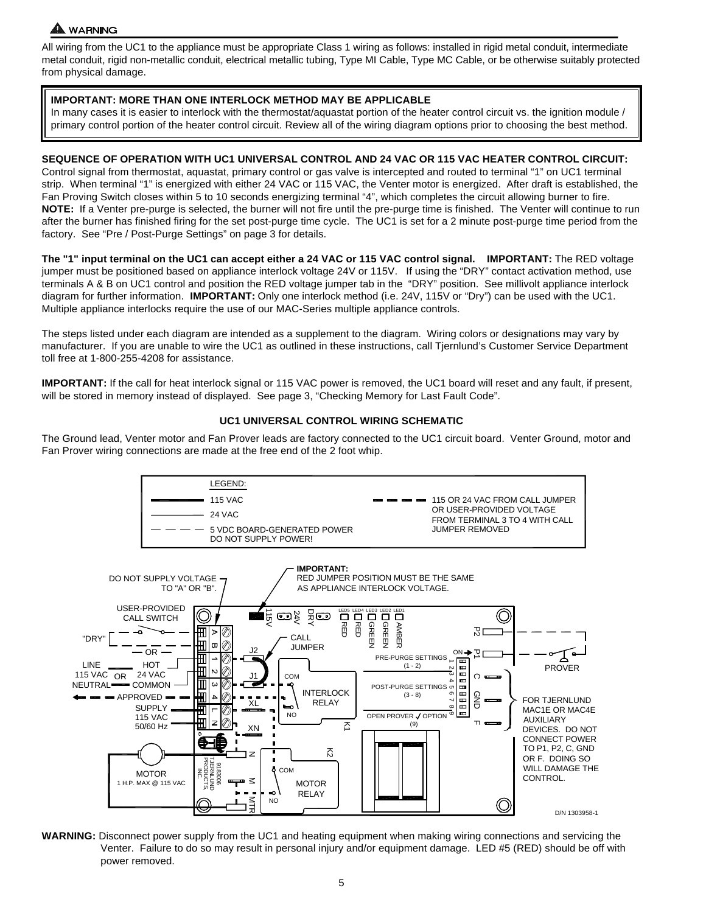# A WARNING

All wiring from the UC1 to the appliance must be appropriate Class 1 wiring as follows: installed in rigid metal conduit, intermediate metal conduit, rigid non-metallic conduit, electrical metallic tubing, Type MI Cable, Type MC Cable, or be otherwise suitably protected from physical damage.

#### **IMPORTANT: MORE THAN ONE INTERLOCK METHOD MAY BE APPLICABLE**

In many cases it is easier to interlock with the thermostat/aquastat portion of the heater control circuit vs. the ignition module / primary control portion of the heater control circuit. Review all of the wiring diagram options prior to choosing the best method.

### **SEQUENCE OF OPERATION WITH UC1 UNIVERSAL CONTROL AND 24 VAC OR 115 VAC HEATER CONTROL CIRCUIT:**

Control signal from thermostat, aquastat, primary control or gas valve is intercepted and routed to terminal "1" on UC1 terminal strip. When terminal "1" is energized with either 24 VAC or 115 VAC, the Venter motor is energized. After draft is established, the Fan Proving Switch closes within 5 to 10 seconds energizing terminal "4", which completes the circuit allowing burner to fire. **NOTE:** If a Venter pre-purge is selected, the burner will not fire until the pre-purge time is finished. The Venter will continue to run after the burner has finished firing for the set post-purge time cycle. The UC1 is set for a 2 minute post-purge time period from the factory. See "Pre / Post-Purge Settings" on page 3 for details.

**The "1" input terminal on the UC1 can accept either a 24 VAC or 115 VAC control signal. IMPORTANT:** The RED voltage jumper must be positioned based on appliance interlock voltage 24V or 115V. If using the "DRY" contact activation method, use terminals A & B on UC1 control and position the RED voltage jumper tab in the "DRY" position. See millivolt appliance interlock diagram for further information. **IMPORTANT:** Only one interlock method (i.e. 24V, 115V or "Dry") can be used with the UC1. Multiple appliance interlocks require the use of our MAC-Series multiple appliance controls.

The steps listed under each diagram are intended as a supplement to the diagram. Wiring colors or designations may vary by manufacturer. If you are unable to wire the UC1 as outlined in these instructions, call Tjernlund's Customer Service Department toll free at 1-800-255-4208 for assistance.

**IMPORTANT:** If the call for heat interlock signal or 115 VAC power is removed, the UC1 board will reset and any fault, if present, will be stored in memory instead of displayed. See page 3, "Checking Memory for Last Fault Code".

#### **UC1 UNIVERSAL CONTROL WIRING SCHEMATIC**

The Ground lead, Venter motor and Fan Prover leads are factory connected to the UC1 circuit board. Venter Ground, motor and Fan Prover wiring connections are made at the free end of the 2 foot whip.



**WARNING:** Disconnect power supply from the UC1 and heating equipment when making wiring connections and servicing the Venter. Failure to do so may result in personal injury and/or equipment damage. LED #5 (RED) should be off with power removed.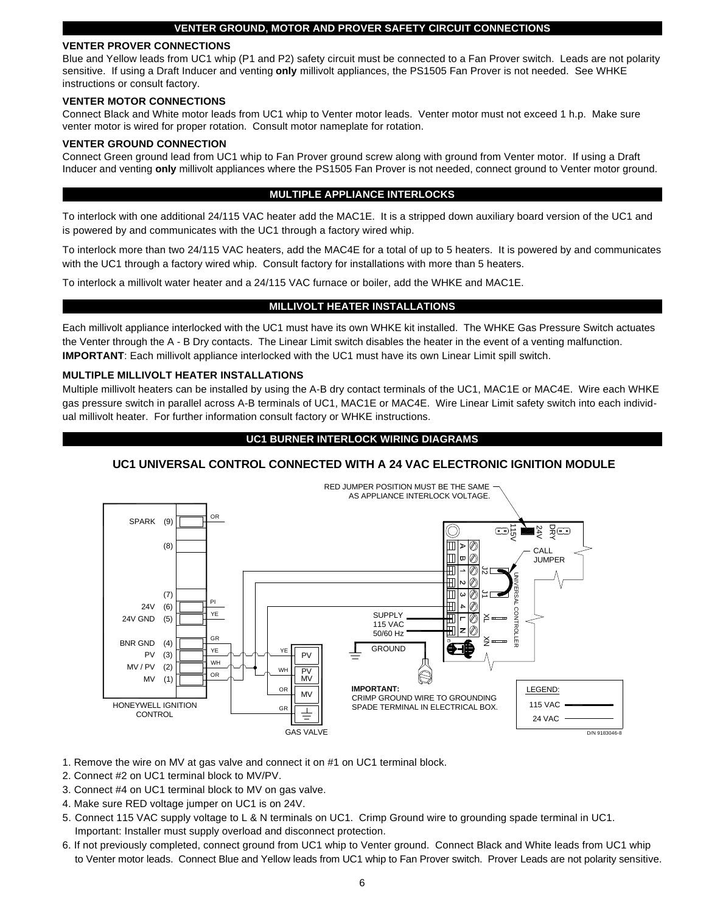#### **VENTER GROUND, MOTOR AND PROVER SAFETY CIRCUIT CONNECTIONS**

#### **VENTER PROVER CONNECTIONS**

Blue and Yellow leads from UC1 whip (P1 and P2) safety circuit must be connected to a Fan Prover switch. Leads are not polarity sensitive. If using a Draft Inducer and venting **only** millivolt appliances, the PS1505 Fan Prover is not needed. See WHKE instructions or consult factory.

#### **VENTER MOTOR CONNECTIONS**

Connect Black and White motor leads from UC1 whip to Venter motor leads. Venter motor must not exceed 1 h.p. Make sure venter motor is wired for proper rotation. Consult motor nameplate for rotation.

#### **VENTER GROUND CONNECTION**

Connect Green ground lead from UC1 whip to Fan Prover ground screw along with ground from Venter motor. If using a Draft Inducer and venting **only** millivolt appliances where the PS1505 Fan Prover is not needed, connect ground to Venter motor ground.

#### **MULTIPLE APPLIANCE INTERLOCKS**

To interlock with one additional 24/115 VAC heater add the MAC1E. It is a stripped down auxiliary board version of the UC1 and is powered by and communicates with the UC1 through a factory wired whip.

To interlock more than two 24/115 VAC heaters, add the MAC4E for a total of up to 5 heaters. It is powered by and communicates with the UC1 through a factory wired whip. Consult factory for installations with more than 5 heaters.

To interlock a millivolt water heater and a 24/115 VAC furnace or boiler, add the WHKE and MAC1E.

#### **MILLIVOLT HEATER INSTALLATIONS**

Each millivolt appliance interlocked with the UC1 must have its own WHKE kit installed. The WHKE Gas Pressure Switch actuates the Venter through the A - B Dry contacts. The Linear Limit switch disables the heater in the event of a venting malfunction. **IMPORTANT**: Each millivolt appliance interlocked with the UC1 must have its own Linear Limit spill switch.

#### **MULTIPLE MILLIVOLT HEATER INSTALLATIONS**

Multiple millivolt heaters can be installed by using the A-B dry contact terminals of the UC1, MAC1E or MAC4E. Wire each WHKE gas pressure switch in parallel across A-B terminals of UC1, MAC1E or MAC4E. Wire Linear Limit safety switch into each individual millivolt heater. For further information consult factory or WHKE instructions.

#### **UC1 BURNER INTERLOCK WIRING DIAGRAMS**

#### **UC1 UNIVERSAL CONTROL CONNECTED WITH A 24 VAC ELECTRONIC IGNITION MODULE**



1. Remove the wire on MV at gas valve and connect it on #1 on UC1 terminal block.

- 2. Connect #2 on UC1 terminal block to MV/PV.
- 3. Connect #4 on UC1 terminal block to MV on gas valve.
- 4. Make sure RED voltage jumper on UC1 is on 24V.
- 5. Connect 115 VAC supply voltage to L & N terminals on UC1. Crimp Ground wire to grounding spade terminal in UC1. Important: Installer must supply overload and disconnect protection.
- 6. If not previously completed, connect ground from UC1 whip to Venter ground. Connect Black and White leads from UC1 whip to Venter motor leads. Connect Blue and Yellow leads from UC1 whip to Fan Prover switch. Prover Leads are not polarity sensitive.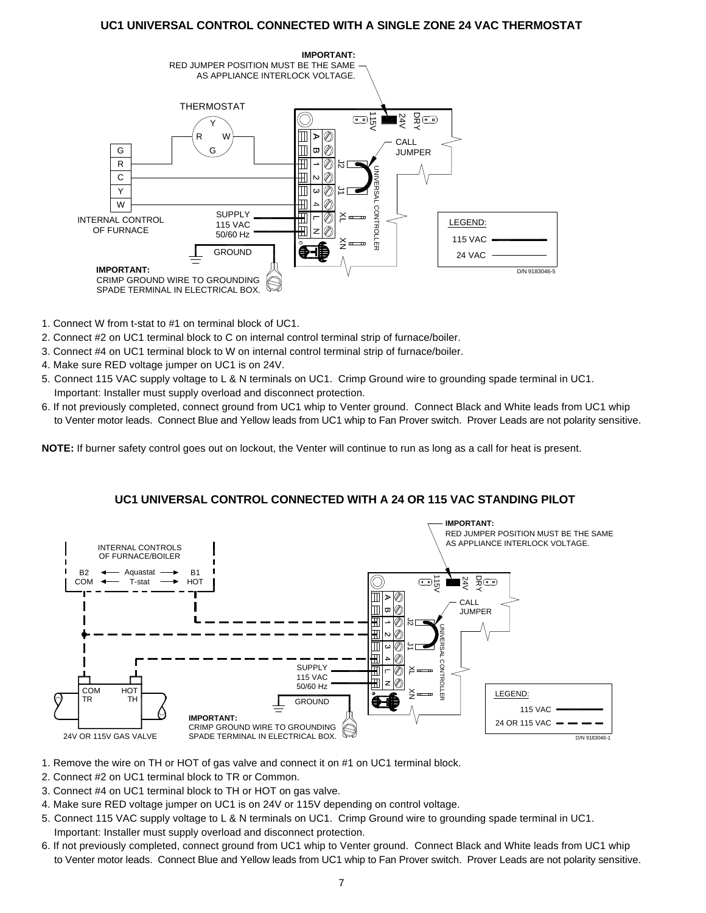# **UC1 UNIVERSAL CONTROL CONNECTED WITH A SINGLE ZONE 24 VAC THERMOSTAT**



- 1. Connect W from t-stat to #1 on terminal block of UC1.
- 2. Connect #2 on UC1 terminal block to C on internal control terminal strip of furnace/boiler.
- 3. Connect #4 on UC1 terminal block to W on internal control terminal strip of furnace/boiler.
- 4. Make sure RED voltage jumper on UC1 is on 24V.
- 5. Connect 115 VAC supply voltage to L & N terminals on UC1. Crimp Ground wire to grounding spade terminal in UC1. Important: Installer must supply overload and disconnect protection.
- 6. If not previously completed, connect ground from UC1 whip to Venter ground. Connect Black and White leads from UC1 whip to Venter motor leads. Connect Blue and Yellow leads from UC1 whip to Fan Prover switch. Prover Leads are not polarity sensitive.

**NOTE:** If burner safety control goes out on lockout, the Venter will continue to run as long as a call for heat is present.

#### **IMPORTANT:** RED JUMPER POSITION MUST BE THE SAME AS APPLIANCE INTERLOCK VOLTAGE. INTERNAL CONTROLS OF FURNACE/BOILER B2 Aquastat B1  $\frac{1}{2}$   $\frac{1}{2}$   $\frac{1}{2}$   $\frac{1}{2}$   $\frac{1}{2}$ COM T-stat **HOT**  $\blacksquare$ CALL T  $\alpha$ JUMPER I  $\overline{\textcircled{\,}}$ XN J1 J2 UNIVERSAL CONTROLLER の **CONTRC SUPPLY**  $\mathbb{\vphantom{a}}^{\mathsf{X}}$ 115 VAC ◎ 50/60 Hz **COM** HOT Ē LEGEND: š TR TH **GROUND** 115 VAC **IMPORTANT:** 24 OR 115 VAC  $\rightarrow$ CRIMP GROUND WIRE TO GROUNDING 24V OR 115V GAS VALVE SPADE TERMINAL IN ELECTRICAL BOX. D/N 9183046-1

#### **UC1 UNIVERSAL CONTROL CONNECTED WITH A 24 OR 115 VAC STANDING PILOT**

- 1. Remove the wire on TH or HOT of gas valve and connect it on #1 on UC1 terminal block.
- 2. Connect #2 on UC1 terminal block to TR or Common.
- 3. Connect #4 on UC1 terminal block to TH or HOT on gas valve.
- 4. Make sure RED voltage jumper on UC1 is on 24V or 115V depending on control voltage.
- 5. Connect 115 VAC supply voltage to L & N terminals on UC1. Crimp Ground wire to grounding spade terminal in UC1. Important: Installer must supply overload and disconnect protection.
- 6. If not previously completed, connect ground from UC1 whip to Venter ground. Connect Black and White leads from UC1 whip to Venter motor leads. Connect Blue and Yellow leads from UC1 whip to Fan Prover switch. Prover Leads are not polarity sensitive.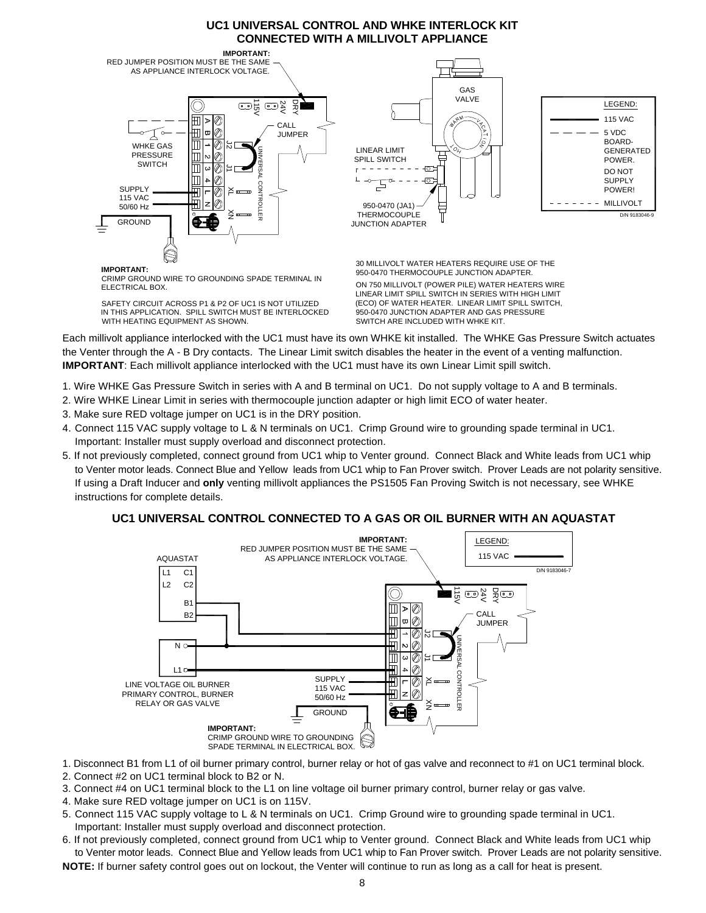# **UC1 UNIVERSAL CONTROL AND WHKE INTERLOCK KIT CONNECTED WITH A MILLIVOLT APPLIANCE**



**IMPORTANT:**

ELECTRICAL BOX. CRIMP GROUND WIRE TO GROUNDING SPADE TERMINAL IN

SAFETY CIRCUIT ACROSS P1 & P2 OF UC1 IS NOT UTILIZED WITH HEATING EQUIPMENT AS SHOWN. IN THIS APPLICATION. SPILL SWITCH MUST BE INTERLOCKED 30 MILLIVOLT WATER HEATERS REQUIRE USE OF THE 950-0470 THERMOCOUPLE JUNCTION ADAPTER.

(ECO) OF WATER HEATER. LINEAR LIMIT SPILL SWITCH, ON 750 MILLIVOLT (POWER PILE) WATER HEATERS WIRE LINEAR LIMIT SPILL SWITCH IN SERIES WITH HIGH LIMIT 950-0470 JUNCTION ADAPTER AND GAS PRESSURE SWITCH ARE INCLUDED WITH WHKE KIT.

Each millivolt appliance interlocked with the UC1 must have its own WHKE kit installed. The WHKE Gas Pressure Switch actuates the Venter through the A - B Dry contacts. The Linear Limit switch disables the heater in the event of a venting malfunction. **IMPORTANT:** Each millivolt appliance interlocked with the UC1 must have its own Linear Limit spill switch.

- 1. Wire WHKE Gas Pressure Switch in series with A and B terminal on UC1. Do not supply voltage to A and B terminals.
- 2. Wire WHKE Linear Limit in series with thermocouple junction adapter or high limit ECO of water heater.
- 3. Make sure RED voltage jumper on UC1 is in the DRY position.
- 4. Connect 115 VAC supply voltage to L & N terminals on UC1. Crimp Ground wire to grounding spade terminal in UC1. Important: Installer must supply overload and disconnect protection.
- 5. If not previously completed, connect ground from UC1 whip to Venter ground. Connect Black and White leads from UC1 whip to Venter motor leads. Connect Blue and Yellow leads from UC1 whip to Fan Prover switch. Prover Leads are not polarity sensitive. If using a Draft Inducer and **only** venting millivolt appliances the PS1505 Fan Proving Switch is not necessary, see WHKE instructions for complete details.

# **UC1 UNIVERSAL CONTROL CONNECTED TO A GAS OR OIL BURNER WITH AN AQUASTAT**



- 1. Disconnect B1 from L1 of oil burner primary control, burner relay or hot of gas valve and reconnect to #1 on UC1 terminal block.
- 2. Connect #2 on UC1 terminal block to B2 or N.
- 3. Connect #4 on UC1 terminal block to the L1 on line voltage oil burner primary control, burner relay or gas valve.
- 4. Make sure RED voltage jumper on UC1 is on 115V.
- 5. Connect 115 VAC supply voltage to L & N terminals on UC1. Crimp Ground wire to grounding spade terminal in UC1.
- Important: Installer must supply overload and disconnect protection.
- 6. If not previously completed, connect ground from UC1 whip to Venter ground. Connect Black and White leads from UC1 whip to Venter motor leads. Connect Blue and Yellow leads from UC1 whip to Fan Prover switch. Prover Leads are not polarity sensitive. **NOTE:** If burner safety control goes out on lockout, the Venter will continue to run as long as a call for heat is present.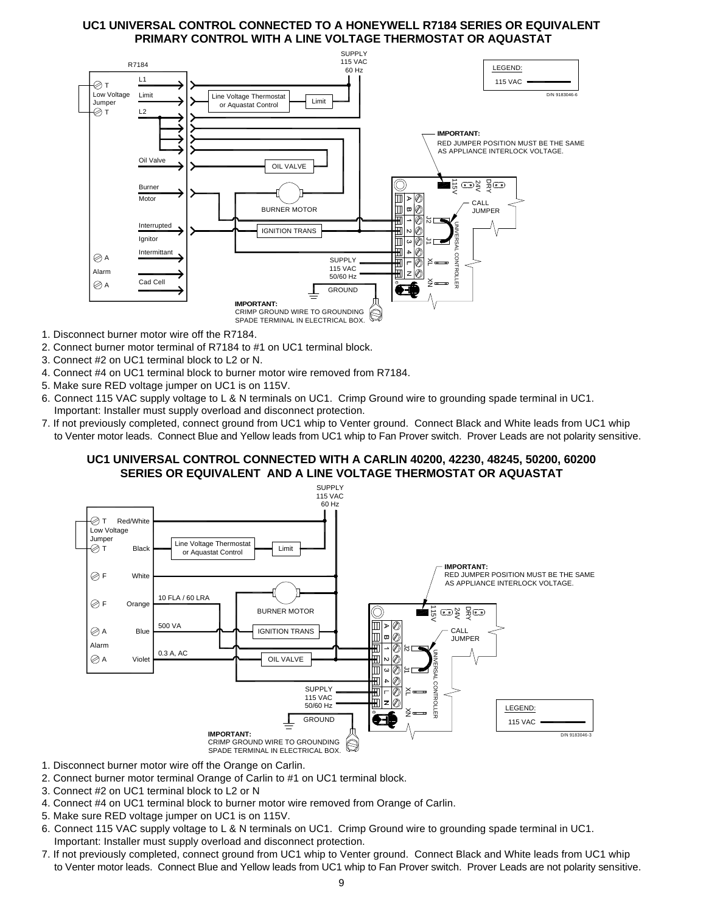# **UC1 UNIVERSAL CONTROL CONNECTED TO A HONEYWELL R7184 SERIES OR EQUIVALENT PRIMARY CONTROL WITH A LINE VOLTAGE THERMOSTAT OR AQUASTAT**



- 1. Disconnect burner motor wire off the R7184.
- 2. Connect burner motor terminal of R7184 to #1 on UC1 terminal block.
- 3. Connect #2 on UC1 terminal block to L2 or N.
- 4. Connect #4 on UC1 terminal block to burner motor wire removed from R7184.
- 5. Make sure RED voltage jumper on UC1 is on 115V.
- 6. Connect 115 VAC supply voltage to L & N terminals on UC1. Crimp Ground wire to grounding spade terminal in UC1. Important: Installer must supply overload and disconnect protection.
- 7. If not previously completed, connect ground from UC1 whip to Venter ground. Connect Black and White leads from UC1 whip to Venter motor leads. Connect Blue and Yellow leads from UC1 whip to Fan Prover switch. Prover Leads are not polarity sensitive.

# **UC1 UNIVERSAL CONTROL CONNECTED WITH A CARLIN 40200, 42230, 48245, 50200, 60200 SERIES OR EQUIVALENT AND A LINE VOLTAGE THERMOSTAT OR AQUASTAT**



- 1. Disconnect burner motor wire off the Orange on Carlin.
- 2. Connect burner motor terminal Orange of Carlin to #1 on UC1 terminal block.
- 3. Connect #2 on UC1 terminal block to L2 or N
- 4. Connect #4 on UC1 terminal block to burner motor wire removed from Orange of Carlin.
- 5. Make sure RED voltage jumper on UC1 is on 115V.
- 6. Connect 115 VAC supply voltage to L & N terminals on UC1. Crimp Ground wire to grounding spade terminal in UC1. Important: Installer must supply overload and disconnect protection.
- 7. If not previously completed, connect ground from UC1 whip to Venter ground. Connect Black and White leads from UC1 whip to Venter motor leads. Connect Blue and Yellow leads from UC1 whip to Fan Prover switch. Prover Leads are not polarity sensitive.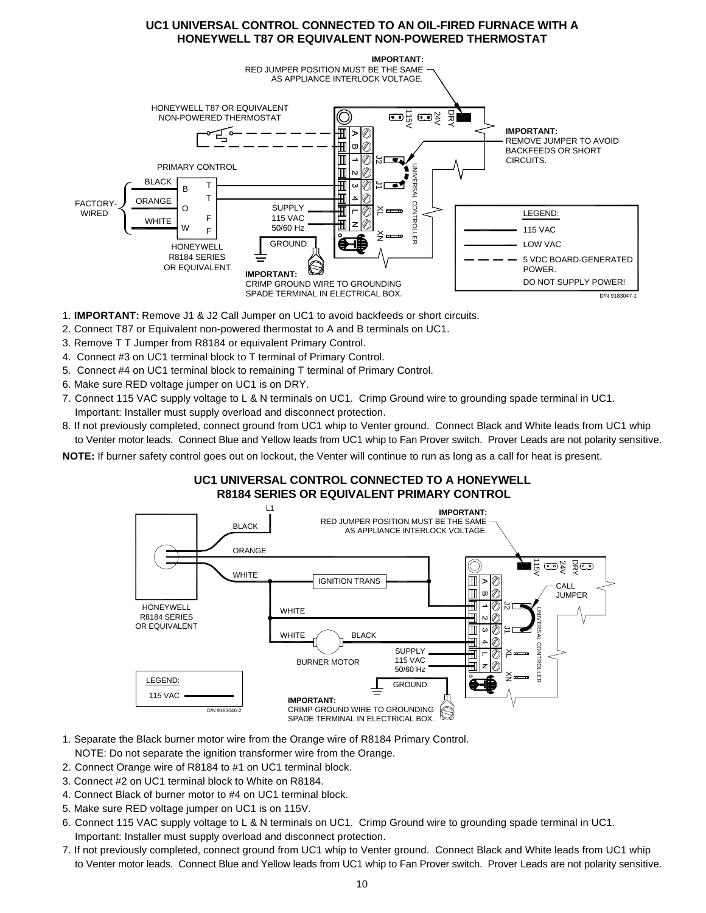# **UC1 UNIVERSAL CONTROL CONNECTED TO AN OIL-FIRED FURNACE WITH A HONEYWELL T87 OR EQUIVALENT NON-POWERED THERMOSTAT**



- 1. **IMPORTANT:** Remove J1 & J2 Call Jumper on UC1 to avoid backfeeds or short circuits.
- 2. Connect T87 or Equivalent non-powered thermostat to A and B terminals on UC1.
- 3. Remove T T Jumper from R8184 or equivalent Primary Control.
- 4. Connect #3 on UC1 terminal block to T terminal of Primary Control.
- 5. Connect #4 on UC1 terminal block to remaining T terminal of Primary Control.
- 6. Make sure RED voltage jumper on UC1 is on DRY.
- 7. Connect 115 VAC supply voltage to L & N terminals on UC1. Crimp Ground wire to grounding spade terminal in UC1. Important: Installer must supply overload and disconnect protection.
- 8. If not previously completed, connect ground from UC1 whip to Venter ground. Connect Black and White leads from UC1 whip to Venter motor leads. Connect Blue and Yellow leads from UC1 whip to Fan Prover switch. Prover Leads are not polarity sensitive.

**NOTE:** If burner safety control goes out on lockout, the Venter will continue to run as long as a call for heat is present.

# **UC1 UNIVERSAL CONTROL CONNECTED TO A HONEYWELL R8184 SERIES OR EQUIVALENT PRIMARY CONTROL**



- 1. Separate the Black burner motor wire from the Orange wire of R8184 Primary Control. NOTE: Do not separate the ignition transformer wire from the Orange.
- 2. Connect Orange wire of R8184 to #1 on UC1 terminal block.
- 3. Connect #2 on UC1 terminal block to White on R8184.
- 4. Connect Black of burner motor to #4 on UC1 terminal block.
- 5. Make sure RED voltage jumper on UC1 is on 115V.
- 6. Connect 115 VAC supply voltage to L & N terminals on UC1. Crimp Ground wire to grounding spade terminal in UC1. Important: Installer must supply overload and disconnect protection.
- 7. If not previously completed, connect ground from UC1 whip to Venter ground. Connect Black and White leads from UC1 whip to Venter motor leads. Connect Blue and Yellow leads from UC1 whip to Fan Prover switch. Prover Leads are not polarity sensitive.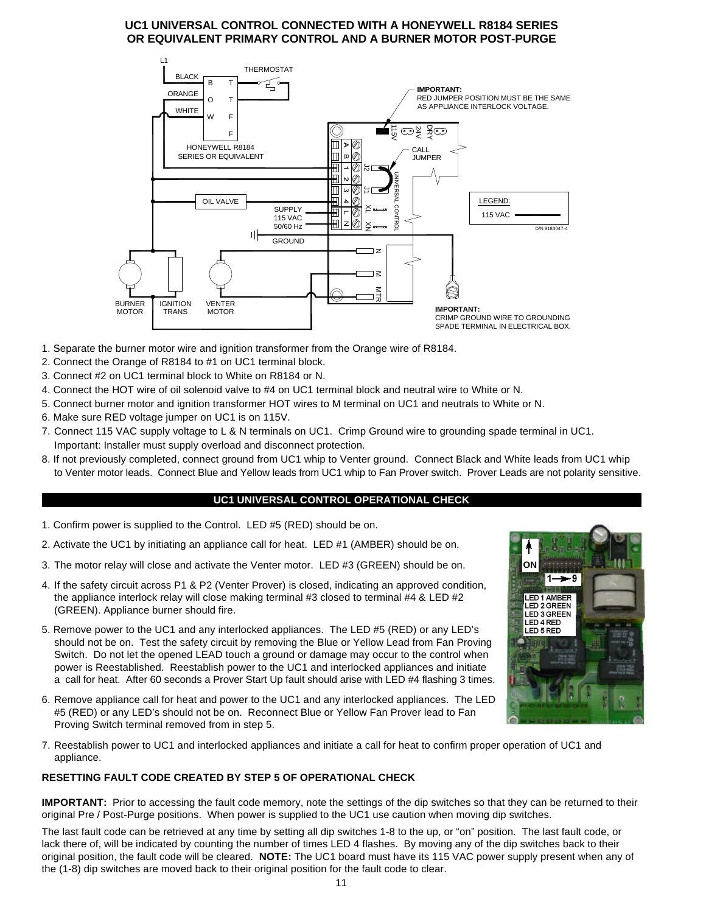# **UC1 UNIVERSAL CONTROL CONNECTED WITH A HONEYWELL R8184 SERIES OR EQUIVALENT PRIMARY CONTROL AND A BURNER MOTOR POST-PURGE**



- 1. Separate the burner motor wire and ignition transformer from the Orange wire of R8184.
- 2. Connect the Orange of R8184 to #1 on UC1 terminal block.
- 3. Connect #2 on UC1 terminal block to White on R8184 or N.
- 4. Connect the HOT wire of oil solenoid valve to #4 on UC1 terminal block and neutral wire to White or N.
- 5. Connect burner motor and ignition transformer HOT wires to M terminal on UC1 and neutrals to White or N.
- 6. Make sure RED voltage jumper on UC1 is on 115V.
- 7. Connect 115 VAC supply voltage to L & N terminals on UC1. Crimp Ground wire to grounding spade terminal in UC1. Important: Installer must supply overload and disconnect protection.
- 8. If not previously completed, connect ground from UC1 whip to Venter ground. Connect Black and White leads from UC1 whip to Venter motor leads. Connect Blue and Yellow leads from UC1 whip to Fan Prover switch. Prover Leads are not polarity sensitive.

#### **UC1 UNIVERSAL CONTROL OPERATIONAL CHECK**

- 1. Confirm power is supplied to the Control. LED #5 (RED) should be on.
- 2. Activate the UC1 by initiating an appliance call for heat. LED #1 (AMBER) should be on.
- 3. The motor relay will close and activate the Venter motor. LED #3 (GREEN) should be on.
- 4. If the safety circuit across P1 & P2 (Venter Prover) is closed, indicating an approved condition, the appliance interlock relay will close making terminal #3 closed to terminal #4 & LED #2 (GREEN). Appliance burner should fire.
- 5. Remove power to the UC1 and any interlocked appliances. The LED #5 (RED) or any LED's should not be on. Test the safety circuit by removing the Blue or Yellow Lead from Fan Proving Switch. Do not let the opened LEAD touch a ground or damage may occur to the control when power is Reestablished. Reestablish power to the UC1 and interlocked appliances and initiate a call for heat. After 60 seconds a Prover Start Up fault should arise with LED #4 flashing 3 times.
- 6. Remove appliance call for heat and power to the UC1 and any interlocked appliances. The LED #5 (RED) or any LED's should not be on. Reconnect Blue or Yellow Fan Prover lead to Fan Proving Switch terminal removed from in step 5.
- 7. Reestablish power to UC1 and interlocked appliances and initiate a call for heat to confirm proper operation of UC1 and appliance.

#### **RESETTING FAULT CODE CREATED BY STEP 5 OF OPERATIONAL CHECK**

**IMPORTANT:** Prior to accessing the fault code memory, note the settings of the dip switches so that they can be returned to their original Pre / Post-Purge positions. When power is supplied to the UC1 use caution when moving dip switches.

The last fault code can be retrieved at any time by setting all dip switches 1-8 to the up, or "on" position. The last fault code, or lack there of, will be indicated by counting the number of times LED 4 flashes. By moving any of the dip switches back to their original position, the fault code will be cleared. **NOTE:** The UC1 board must have its 115 VAC power supply present when any of the (1-8) dip switches are moved back to their original position for the fault code to clear.

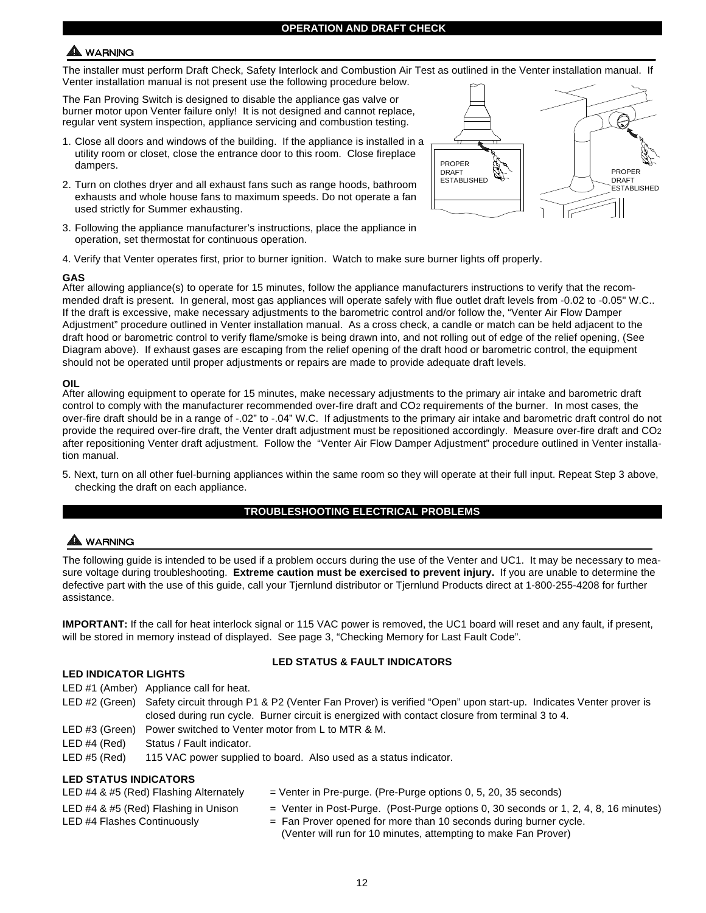# **WARNING**

The installer must perform Draft Check, Safety Interlock and Combustion Air Test as outlined in the Venter installation manual. If Venter installation manual is not present use the following procedure below.

The Fan Proving Switch is designed to disable the appliance gas valve or burner motor upon Venter failure only! It is not designed and cannot replace, regular vent system inspection, appliance servicing and combustion testing.

- 1. Close all doors and windows of the building. If the appliance is installed in a utility room or closet, close the entrance door to this room. Close fireplace dampers.
- 2. Turn on clothes dryer and all exhaust fans such as range hoods, bathroom exhausts and whole house fans to maximum speeds. Do not operate a fan used strictly for Summer exhausting.
- 3. Following the appliance manufacturer's instructions, place the appliance in operation, set thermostat for continuous operation.
- 4. Verify that Venter operates first, prior to burner ignition. Watch to make sure burner lights off properly.

#### **GAS**

After allowing appliance(s) to operate for 15 minutes, follow the appliance manufacturers instructions to verify that the recommended draft is present. In general, most gas appliances will operate safely with flue outlet draft levels from -0.02 to -0.05" W.C.. If the draft is excessive, make necessary adjustments to the barometric control and/or follow the, "Venter Air Flow Damper Adjustment" procedure outlined in Venter installation manual. As a cross check, a candle or match can be held adjacent to the draft hood or barometric control to verify flame/smoke is being drawn into, and not rolling out of edge of the relief opening, (See Diagram above). If exhaust gases are escaping from the relief opening of the draft hood or barometric control, the equipment should not be operated until proper adjustments or repairs are made to provide adequate draft levels.

#### **OIL**

After allowing equipment to operate for 15 minutes, make necessary adjustments to the primary air intake and barometric draft control to comply with the manufacturer recommended over-fire draft and CO2 requirements of the burner. In most cases, the over-fire draft should be in a range of -.02" to -.04" W.C. If adjustments to the primary air intake and barometric draft control do not provide the required over-fire draft, the Venter draft adjustment must be repositioned accordingly. Measure over-fire draft and CO2 after repositioning Venter draft adjustment. Follow the "Venter Air Flow Damper Adjustment" procedure outlined in Venter installation manual.

5. Next, turn on all other fuel-burning appliances within the same room so they will operate at their full input. Repeat Step 3 above, checking the draft on each appliance.

#### **TROUBLESHOOTING ELECTRICAL PROBLEMS**

# WARNING

The following guide is intended to be used if a problem occurs during the use of the Venter and UC1. It may be necessary to measure voltage during troubleshooting. **Extreme caution must be exercised to prevent injury.** If you are unable to determine the defective part with the use of this guide, call your Tjernlund distributor or Tjernlund Products direct at 1-800-255-4208 for further assistance.

**IMPORTANT:** If the call for heat interlock signal or 115 VAC power is removed, the UC1 board will reset and any fault, if present, will be stored in memory instead of displayed. See page 3, "Checking Memory for Last Fault Code".

#### **LED INDICATOR LIGHTS**

#### **LED STATUS & FAULT INDICATORS**

- LED #1 (Amber) Appliance call for heat.
- LED #2 (Green) Safety circuit through P1 & P2 (Venter Fan Prover) is verified "Open" upon start-up. Indicates Venter prover is closed during run cycle. Burner circuit is energized with contact closure from terminal 3 to 4.
- LED #3 (Green) Power switched to Venter motor from L to MTR & M.
- LED #4 (Red) Status / Fault indicator.

LED #5 (Red) 115 VAC power supplied to board. Also used as a status indicator.

#### **LED STATUS INDICATORS**

| LED #4 & #5 (Red) Flashing Alternately                              | $=$ Venter in Pre-purge. (Pre-Purge options 0, 5, 20, 35 seconds)                                                                                             |
|---------------------------------------------------------------------|---------------------------------------------------------------------------------------------------------------------------------------------------------------|
| LED #4 & #5 (Red) Flashing in Unison<br>LED #4 Flashes Continuously | $=$ Venter in Post-Purge. (Post-Purge options 0, 30 seconds or 1, 2, 4, 8, 16 minutes)<br>$=$ Fan Prover opened for more than 10 seconds during burner cycle. |
|                                                                     | (Venter will run for 10 minutes, attempting to make Fan Prover)                                                                                               |

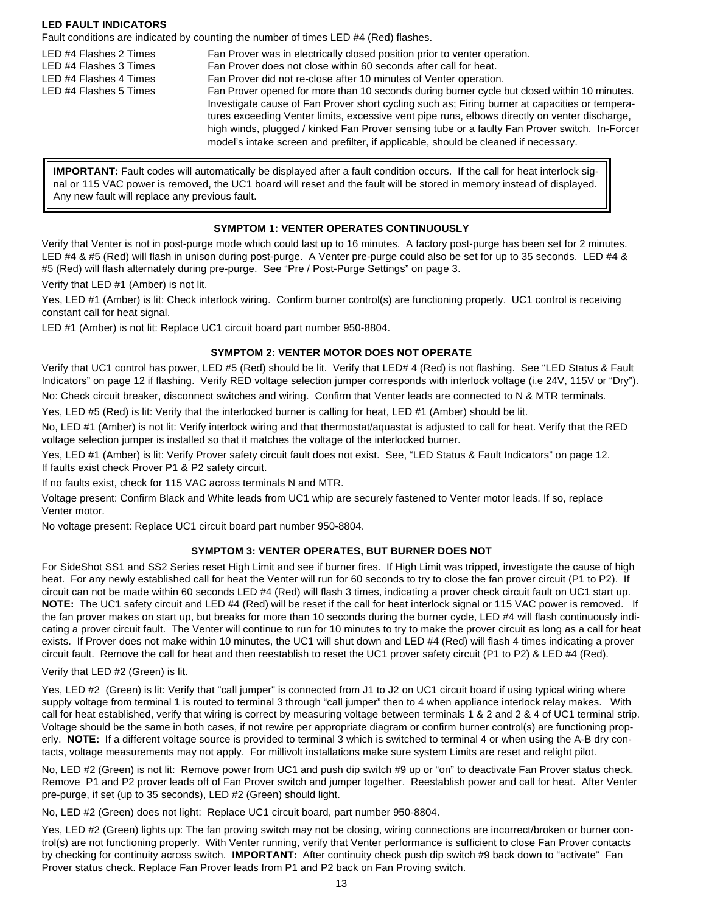#### **LED FAULT INDICATORS**

Fault conditions are indicated by counting the number of times LED #4 (Red) flashes.

LED #4 Flashes 2 Times Fan Prover was in electrically closed position prior to venter operation. LED #4 Flashes 3 Times Fan Prover does not close within 60 seconds after call for heat. LED #4 Flashes 4 Times Fan Prover did not re-close after 10 minutes of Venter operation. LED #4 Flashes 5 Times Fan Prover opened for more than 10 seconds during burner cycle but closed within 10 minutes. Investigate cause of Fan Prover short cycling such as; Firing burner at capacities or temperatures exceeding Venter limits, excessive vent pipe runs, elbows directly on venter discharge, high winds, plugged / kinked Fan Prover sensing tube or a faulty Fan Prover switch. In-Forcer model's intake screen and prefilter, if applicable, should be cleaned if necessary.

**IMPORTANT:** Fault codes will automatically be displayed after a fault condition occurs. If the call for heat interlock signal or 115 VAC power is removed, the UC1 board will reset and the fault will be stored in memory instead of displayed. Any new fault will replace any previous fault.

# **SYMPTOM 1: VENTER OPERATES CONTINUOUSLY**

Verify that Venter is not in post-purge mode which could last up to 16 minutes. A factory post-purge has been set for 2 minutes. LED #4 & #5 (Red) will flash in unison during post-purge. A Venter pre-purge could also be set for up to 35 seconds. LED #4 & #5 (Red) will flash alternately during pre-purge. See "Pre / Post-Purge Settings" on page 3.

Verify that LED #1 (Amber) is not lit.

Yes, LED #1 (Amber) is lit: Check interlock wiring. Confirm burner control(s) are functioning properly. UC1 control is receiving constant call for heat signal.

LED #1 (Amber) is not lit: Replace UC1 circuit board part number 950-8804.

# **SYMPTOM 2: VENTER MOTOR DOES NOT OPERATE**

Verify that UC1 control has power, LED #5 (Red) should be lit. Verify that LED# 4 (Red) is not flashing. See "LED Status & Fault Indicators" on page 12 if flashing. Verify RED voltage selection jumper corresponds with interlock voltage (i.e 24V, 115V or "Dry").

No: Check circuit breaker, disconnect switches and wiring. Confirm that Venter leads are connected to N & MTR terminals.

Yes, LED #5 (Red) is lit: Verify that the interlocked burner is calling for heat, LED #1 (Amber) should be lit.

No, LED #1 (Amber) is not lit: Verify interlock wiring and that thermostat/aquastat is adjusted to call for heat. Verify that the RED voltage selection jumper is installed so that it matches the voltage of the interlocked burner.

Yes, LED #1 (Amber) is lit: Verify Prover safety circuit fault does not exist. See, "LED Status & Fault Indicators" on page 12. If faults exist check Prover P1 & P2 safety circuit.

If no faults exist, check for 115 VAC across terminals N and MTR.

Voltage present: Confirm Black and White leads from UC1 whip are securely fastened to Venter motor leads. If so, replace Venter motor.

No voltage present: Replace UC1 circuit board part number 950-8804.

# **SYMPTOM 3: VENTER OPERATES, BUT BURNER DOES NOT**

For SideShot SS1 and SS2 Series reset High Limit and see if burner fires. If High Limit was tripped, investigate the cause of high heat. For any newly established call for heat the Venter will run for 60 seconds to try to close the fan prover circuit (P1 to P2). If circuit can not be made within 60 seconds LED #4 (Red) will flash 3 times, indicating a prover check circuit fault on UC1 start up. **NOTE:** The UC1 safety circuit and LED #4 (Red) will be reset if the call for heat interlock signal or 115 VAC power is removed. If the fan prover makes on start up, but breaks for more than 10 seconds during the burner cycle, LED #4 will flash continuously indicating a prover circuit fault. The Venter will continue to run for 10 minutes to try to make the prover circuit as long as a call for heat exists. If Prover does not make within 10 minutes, the UC1 will shut down and LED #4 (Red) will flash 4 times indicating a prover circuit fault. Remove the call for heat and then reestablish to reset the UC1 prover safety circuit (P1 to P2) & LED #4 (Red).

# Verify that LED #2 (Green) is lit.

Yes, LED #2 (Green) is lit: Verify that "call jumper" is connected from J1 to J2 on UC1 circuit board if using typical wiring where supply voltage from terminal 1 is routed to terminal 3 through "call jumper" then to 4 when appliance interlock relay makes. With call for heat established, verify that wiring is correct by measuring voltage between terminals 1 & 2 and 2 & 4 of UC1 terminal strip. Voltage should be the same in both cases, if not rewire per appropriate diagram or confirm burner control(s) are functioning properly. NOTE: If a different voltage source is provided to terminal 3 which is switched to terminal 4 or when using the A-B dry contacts, voltage measurements may not apply. For millivolt installations make sure system Limits are reset and relight pilot.

No, LED #2 (Green) is not lit: Remove power from UC1 and push dip switch #9 up or "on" to deactivate Fan Prover status check. Remove P1 and P2 prover leads off of Fan Prover switch and jumper together. Reestablish power and call for heat. After Venter pre-purge, if set (up to 35 seconds), LED #2 (Green) should light.

No, LED #2 (Green) does not light: Replace UC1 circuit board, part number 950-8804.

Yes, LED #2 (Green) lights up: The fan proving switch may not be closing, wiring connections are incorrect/broken or burner control(s) are not functioning properly. With Venter running, verify that Venter performance is sufficient to close Fan Prover contacts by checking for continuity across switch. **IMPORTANT:** After continuity check push dip switch #9 back down to "activate" Fan Prover status check. Replace Fan Prover leads from P1 and P2 back on Fan Proving switch.